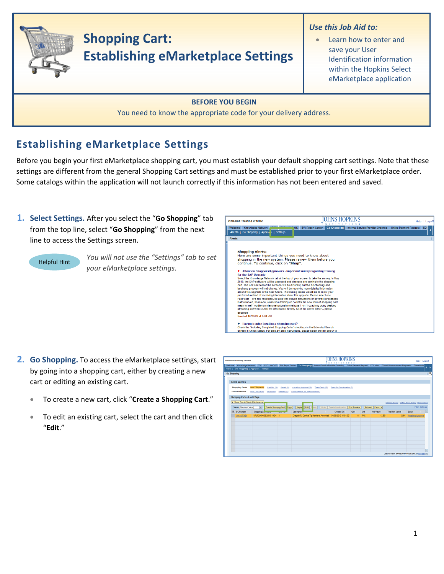

## **Establishing eMarketplace Settings**

Before you begin your first eMarketplace shopping cart, you must establish your default shopping cart settings. Note that these settings are different from the general Shopping Cart settings and must be established prior to your first eMarketplace order. Some catalogs within the application will not launch correctly if this information has not been entered and saved.

**1. Select Settings.** After you select the "**Go Shopping**" tab from the top line, select "**Go Shopping**" from the next line to access the Settings screen.



*You will not use the "Settings" tab to set your eMarketplace settings.*



- **2. Go Shopping.** To access the eMarketplace settings, start by going into a shopping cart, either by creating a new cart or editing an existing cart.
	- To create a new cart, click "**Create a Shopping Cart**."
	- To edit an existing cart, select the cart and then click "**Edit**."

| <b>Welcome Training UPUR29</b>             |                                                           |                                    |                                                                                                                                                                                       | JOHNS HOPKINS<br>$\mathbf{X}$                      |             |        |                  |                                           | Help   Log.off          |
|--------------------------------------------|-----------------------------------------------------------|------------------------------------|---------------------------------------------------------------------------------------------------------------------------------------------------------------------------------------|----------------------------------------------------|-------------|--------|------------------|-------------------------------------------|-------------------------|
| Alerts   Go Shopping   Approval   Settings |                                                           |                                    | Welcome Knowledge Network ECC ECC - MAC OS BW Report Center Go Shopping Internal Service Provider Ordering Online Payment Request ECC Inbox Travel Reinbursement Requester Travel Adm |                                                    |             |        |                  |                                           |                         |
| Go Shopping                                |                                                           |                                    |                                                                                                                                                                                       |                                                    |             |        |                  |                                           |                         |
|                                            |                                                           |                                    |                                                                                                                                                                                       |                                                    |             |        |                  |                                           |                         |
| <b>Active Queries</b>                      |                                                           |                                    |                                                                                                                                                                                       |                                                    |             |        |                  |                                           |                         |
| <b>Shopping Carts</b><br>Confirmations     | <b>Last 7 Days (1)</b><br>Cart No. (0)<br>Last 7 Days (0) | Saved (0)<br>Saved (0) Deleted (0) | Awalting Approval (0)<br>Confirmations for Team Carts (0)                                                                                                                             | Team Carts (0) Open for Confirmation (0)           |             |        |                  |                                           |                         |
| Shopping Carts - Last 7 Days               |                                                           |                                    |                                                                                                                                                                                       |                                                    |             |        |                  |                                           |                         |
| > Show Quick Criteria Maintenance          |                                                           |                                    |                                                                                                                                                                                       |                                                    |             |        |                  | Change Query Define New Query Personalize |                         |
| View [Standard View]                       | $\overline{ }$<br>Create Shopping Cart                    | Copy                               | Display Edit   C                                                                                                                                                                      | lete   Order   Create Confirmation   Print Preview |             |        | Refresh Export   |                                           | <b>Fiber Settings</b>   |
| <b>SC Number</b><br>昆                      | Shopping Community                                        | <b><i><u>Property</u></i></b>      | Description                                                                                                                                                                           | Created On                                         | <b>City</b> | Unit   | <b>Net Value</b> | <b>Total Net Value</b>                    | Status                  |
| 1001077454                                 | UPUR29 04/08/2010 14:34 1                                 |                                    | Crayola(R) Conical Tip Markers, Assorted 04/08/2010 15:01:03                                                                                                                          |                                                    |             | 15 PAC | 12.60            |                                           | 12.60 Awaiting Approval |
|                                            |                                                           |                                    |                                                                                                                                                                                       |                                                    |             |        |                  |                                           |                         |
|                                            |                                                           |                                    |                                                                                                                                                                                       |                                                    |             |        |                  |                                           |                         |
|                                            |                                                           |                                    |                                                                                                                                                                                       |                                                    |             |        |                  |                                           |                         |
|                                            |                                                           |                                    |                                                                                                                                                                                       |                                                    |             |        |                  |                                           |                         |
|                                            |                                                           |                                    |                                                                                                                                                                                       |                                                    |             |        |                  |                                           |                         |
|                                            |                                                           |                                    |                                                                                                                                                                                       |                                                    |             |        |                  |                                           |                         |
|                                            |                                                           |                                    |                                                                                                                                                                                       |                                                    |             |        |                  |                                           |                         |
|                                            |                                                           |                                    |                                                                                                                                                                                       |                                                    |             |        |                  |                                           |                         |
|                                            |                                                           |                                    |                                                                                                                                                                                       |                                                    |             |        |                  |                                           |                         |